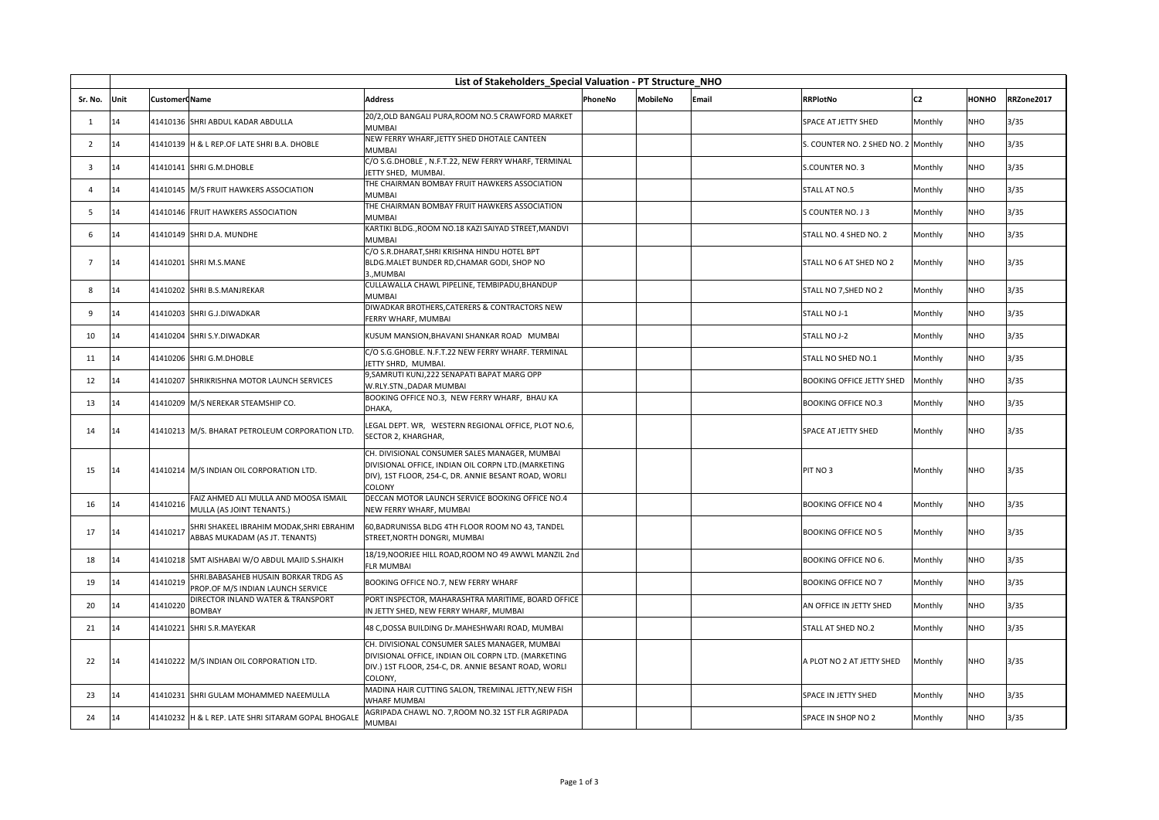|                |      | List of Stakeholders Special Valuation - PT Structure NHO |                                                                            |                                                                                                                                                                         |         |                 |       |                                     |                |              |            |
|----------------|------|-----------------------------------------------------------|----------------------------------------------------------------------------|-------------------------------------------------------------------------------------------------------------------------------------------------------------------------|---------|-----------------|-------|-------------------------------------|----------------|--------------|------------|
| Sr. No.        | Unit | <b>Customer Name</b>                                      |                                                                            | <b>Address</b>                                                                                                                                                          | PhoneNo | <b>MobileNo</b> | Email | <b>RRPlotNo</b>                     | C <sub>2</sub> | <b>HONHO</b> | RRZone2017 |
| 1              | 14   |                                                           | 41410136 SHRI ABDUL KADAR ABDULLA                                          | 20/2, OLD BANGALI PURA, ROOM NO.5 CRAWFORD MARKET<br><b>MUMBAI</b>                                                                                                      |         |                 |       | <b>SPACE AT JETTY SHED</b>          | Monthly        | <b>NHO</b>   | 3/35       |
| $\overline{2}$ | 14   |                                                           | 41410139 H & L REP.OF LATE SHRI B.A. DHOBLE                                | NEW FERRY WHARF, JETTY SHED DHOTALE CANTEEN<br><b>MUMBAI</b>                                                                                                            |         |                 |       | S. COUNTER NO. 2 SHED NO. 2 Monthly |                | NHO          | 3/35       |
| 3              | 14   |                                                           | 41410141 SHRI G.M.DHOBLE                                                   | C/O S.G.DHOBLE, N.F.T.22, NEW FERRY WHARF, TERMINAL<br>JETTY SHED, MUMBAI.                                                                                              |         |                 |       | S.COUNTER NO. 3                     | Monthly        | <b>NHO</b>   | 3/35       |
| $\overline{4}$ | 14   |                                                           | 41410145 M/S FRUIT HAWKERS ASSOCIATION                                     | THE CHAIRMAN BOMBAY FRUIT HAWKERS ASSOCIATION<br><b>MUMBAI</b>                                                                                                          |         |                 |       | STALL AT NO.5                       | Monthly        | NHO          | 3/35       |
| .5             | 14   |                                                           | 41410146 FRUIT HAWKERS ASSOCIATION                                         | THE CHAIRMAN BOMBAY FRUIT HAWKERS ASSOCIATION<br><b>MUMBAI</b>                                                                                                          |         |                 |       | S COUNTER NO. J 3                   | Monthly        | NHO          | 3/35       |
| -6             | 14   |                                                           | 41410149 SHRI D.A. MUNDHE                                                  | KARTIKI BLDG., ROOM NO.18 KAZI SAIYAD STREET, MANDVI<br><b>MUMBAI</b>                                                                                                   |         |                 |       | STALL NO. 4 SHED NO. 2              | Monthly        | <b>NHO</b>   | 3/35       |
| $\overline{7}$ | 14   |                                                           | 41410201 SHRI M.S.MANE                                                     | C/O S.R.DHARAT, SHRI KRISHNA HINDU HOTEL BPT<br>BLDG.MALET BUNDER RD, CHAMAR GODI, SHOP NO<br>3MUMBAI                                                                   |         |                 |       | STALL NO 6 AT SHED NO 2             | Monthly        | NHO          | 3/35       |
| 8              | 14   |                                                           | 41410202 SHRI B.S.MANJREKAR                                                | CULLAWALLA CHAWL PIPELINE, TEMBIPADU, BHANDUP<br><b>MUMBAI</b>                                                                                                          |         |                 |       | STALL NO 7, SHED NO 2               | Monthly        | NHO          | 3/35       |
| 9              | 14   |                                                           | 41410203 SHRI G.J.DIWADKAR                                                 | DIWADKAR BROTHERS, CATERERS & CONTRACTORS NEW<br>FERRY WHARF, MUMBAI                                                                                                    |         |                 |       | STALL NO J-1                        | Monthly        | NHO          | 3/35       |
| 10             | 14   |                                                           | 41410204 SHRI S.Y.DIWADKAR                                                 | KUSUM MANSION, BHAVANI SHANKAR ROAD MUMBAI                                                                                                                              |         |                 |       | <b>STALL NO J-2</b>                 | Monthly        | NHO          | 3/35       |
| 11             | 14   |                                                           | 41410206 SHRI G.M.DHOBLE                                                   | C/O S.G.GHOBLE. N.F.T.22 NEW FERRY WHARF. TERMINAL<br>JETTY SHRD, MUMBAI.                                                                                               |         |                 |       | STALL NO SHED NO.1                  | Monthly        | NHO          | 3/35       |
| 12             | 14   |                                                           | 41410207 SHRIKRISHNA MOTOR LAUNCH SERVICES                                 | 9, SAMRUTI KUNJ, 222 SENAPATI BAPAT MARG OPP<br>W.RLY.STN., DADAR MUMBAI                                                                                                |         |                 |       | <b>BOOKING OFFICE JETTY SHED</b>    | Monthly        | NHO          | 3/35       |
| 13             | 14   |                                                           | 41410209 M/S NEREKAR STEAMSHIP CO.                                         | BOOKING OFFICE NO.3, NEW FERRY WHARF, BHAU KA<br>DHAKA,                                                                                                                 |         |                 |       | <b>BOOKING OFFICE NO.3</b>          | Monthly        | NHO          | 3/35       |
| 14             | 14   |                                                           | 41410213 M/S. BHARAT PETROLEUM CORPORATION LTD.                            | LEGAL DEPT. WR, WESTERN REGIONAL OFFICE, PLOT NO.6,<br>SECTOR 2, KHARGHAR,                                                                                              |         |                 |       | <b>SPACE AT JETTY SHED</b>          | Monthly        | <b>NHO</b>   | 3/35       |
| 15             | 14   |                                                           | 41410214 M/S INDIAN OIL CORPORATION LTD.                                   | CH. DIVISIONAL CONSUMER SALES MANAGER, MUMBAI<br>DIVISIONAL OFFICE, INDIAN OIL CORPN LTD.(MARKETING<br>DIV), 1ST FLOOR, 254-C, DR. ANNIE BESANT ROAD, WORLI<br>COLONY   |         |                 |       | PIT NO 3                            | Monthly        | NHO          | 3/35       |
| 16             | 14   | 41410216                                                  | FAIZ AHMED ALI MULLA AND MOOSA ISMAIL<br>MULLA (AS JOINT TENANTS.)         | DECCAN MOTOR LAUNCH SERVICE BOOKING OFFICE NO.4<br>NEW FERRY WHARF, MUMBAI                                                                                              |         |                 |       | <b>BOOKING OFFICE NO 4</b>          | Monthly        | NHO          | 3/35       |
| 17             | 14   | 41410217                                                  | SHRI SHAKEEL IBRAHIM MODAK, SHRI EBRAHIM<br>ABBAS MUKADAM (AS JT. TENANTS) | 60, BADRUNISSA BLDG 4TH FLOOR ROOM NO 43, TANDEL<br>STREET, NORTH DONGRI, MUMBAI                                                                                        |         |                 |       | <b>BOOKING OFFICE NO 5</b>          | Monthly        | NHO          | 3/35       |
| 18             | 14   |                                                           | 41410218 SMT AISHABAI W/O ABDUL MAJID S.SHAIKH                             | 18/19, NOORJEE HILL ROAD, ROOM NO 49 AWWL MANZIL 2nd<br><b>FLR MUMBAI</b>                                                                                               |         |                 |       | <b>BOOKING OFFICE NO 6.</b>         | Monthly        | NHO          | 3/35       |
| 19             | 14   | 41410219                                                  | SHRI. BABASAHEB HUSAIN BORKAR TRDG AS<br>PROP.OF M/S INDIAN LAUNCH SERVICE | BOOKING OFFICE NO.7, NEW FERRY WHARF                                                                                                                                    |         |                 |       | <b>BOOKING OFFICE NO 7</b>          | Monthly        | NHO          | 3/35       |
| 20             | 14   | 41410220                                                  | DIRECTOR INLAND WATER & TRANSPORT<br><b>BOMBAY</b>                         | PORT INSPECTOR, MAHARASHTRA MARITIME, BOARD OFFICE<br>IN JETTY SHED, NEW FERRY WHARF, MUMBAI                                                                            |         |                 |       | AN OFFICE IN JETTY SHED             | Monthly        | NHO          | 3/35       |
| 21             | 14   |                                                           | 41410221 SHRI S.R.MAYEKAR                                                  | 48 C,DOSSA BUILDING Dr.MAHESHWARI ROAD, MUMBAI                                                                                                                          |         |                 |       | <b>STALL AT SHED NO.2</b>           | Monthly        | NHO          | 3/35       |
| 22             | 14   |                                                           | 41410222 M/S INDIAN OIL CORPORATION LTD.                                   | CH. DIVISIONAL CONSUMER SALES MANAGER, MUMBAI<br>DIVISIONAL OFFICE, INDIAN OIL CORPN LTD. (MARKETING<br>DIV.) 1ST FLOOR, 254-C, DR. ANNIE BESANT ROAD, WORLI<br>COLONY, |         |                 |       | A PLOT NO 2 AT JETTY SHED           | Monthly        | <b>NHO</b>   | 3/35       |
| 23             | 14   |                                                           | 41410231 SHRI GULAM MOHAMMED NAEEMULLA                                     | MADINA HAIR CUTTING SALON, TREMINAL JETTY, NEW FISH<br>WHARF MUMBAI                                                                                                     |         |                 |       | SPACE IN JETTY SHED                 | Monthly        | NHO          | 3/35       |
| 24             | 14   |                                                           | 41410232 H & L REP. LATE SHRI SITARAM GOPAL BHOGALE                        | AGRIPADA CHAWL NO. 7, ROOM NO.32 1ST FLR AGRIPADA<br><b>MUMBAI</b>                                                                                                      |         |                 |       | SPACE IN SHOP NO 2                  | Monthly        | <b>NHO</b>   | 3/35       |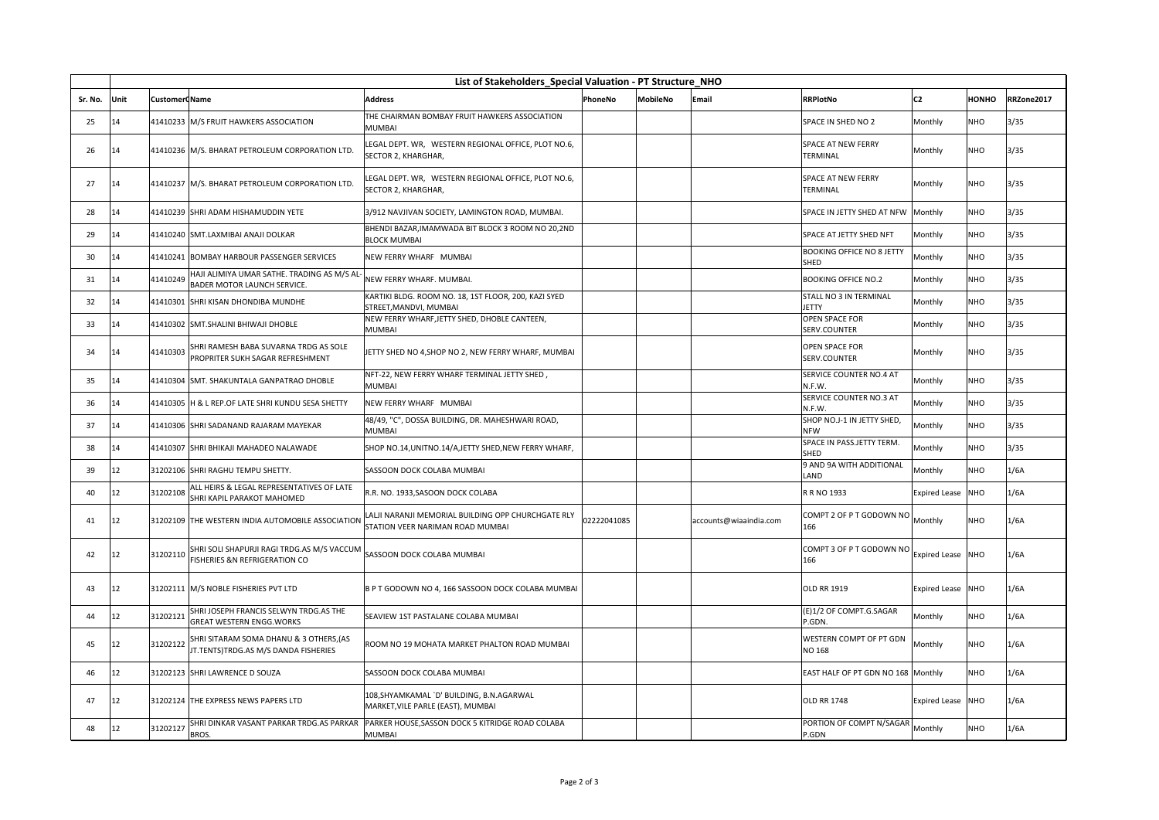| List of Stakeholders_Special Valuation - PT Structure_NHO |      |                      |                                                                                   |                                                                                        |             |                 |                        |                                              |                      |              |            |
|-----------------------------------------------------------|------|----------------------|-----------------------------------------------------------------------------------|----------------------------------------------------------------------------------------|-------------|-----------------|------------------------|----------------------------------------------|----------------------|--------------|------------|
| Sr. No.                                                   | Unit | <b>Customer Name</b> |                                                                                   | <b>Address</b>                                                                         | PhoneNo     | <b>MobileNo</b> | Email                  | <b>RRPlotNo</b>                              | C <sub>2</sub>       | <b>HONHO</b> | RRZone2017 |
| 25                                                        | 14   |                      | 41410233 M/S FRUIT HAWKERS ASSOCIATION                                            | THE CHAIRMAN BOMBAY FRUIT HAWKERS ASSOCIATION<br><b>MUMBAI</b>                         |             |                 |                        | SPACE IN SHED NO 2                           | Monthly              | <b>NHO</b>   | 3/35       |
| 26                                                        | 14   |                      | 41410236 M/S. BHARAT PETROLEUM CORPORATION LTD.                                   | LEGAL DEPT. WR, WESTERN REGIONAL OFFICE, PLOT NO.6,<br>SECTOR 2, KHARGHAR,             |             |                 |                        | <b>SPACE AT NEW FERRY</b><br><b>TERMINAL</b> | Monthly              | <b>NHO</b>   | 3/35       |
| 27                                                        | 14   |                      | 41410237 M/S. BHARAT PETROLEUM CORPORATION LTD.                                   | LEGAL DEPT. WR, WESTERN REGIONAL OFFICE, PLOT NO.6,<br>SECTOR 2. KHARGHAR.             |             |                 |                        | <b>SPACE AT NEW FERRY</b><br><b>TERMINAL</b> | Monthly              | NHO          | 3/35       |
| 28                                                        | 14   |                      | 41410239 SHRI ADAM HISHAMUDDIN YETE                                               | 3/912 NAVJIVAN SOCIETY, LAMINGTON ROAD, MUMBAI.                                        |             |                 |                        | SPACE IN JETTY SHED AT NFW Monthly           |                      | <b>NHO</b>   | 3/35       |
| 29                                                        | 14   |                      | 41410240 SMT.LAXMIBAI ANAJI DOLKAR                                                | BHENDI BAZAR, IMAMWADA BIT BLOCK 3 ROOM NO 20,2ND<br><b>BLOCK MUMBAI</b>               |             |                 |                        | SPACE AT JETTY SHED NFT                      | Monthly              | NHO          | 3/35       |
| 30                                                        | 14   |                      | 41410241 BOMBAY HARBOUR PASSENGER SERVICES                                        | NEW FERRY WHARF MUMBAI                                                                 |             |                 |                        | <b>BOOKING OFFICE NO 8 JETTY</b><br>SHED     | Monthly              | <b>NHO</b>   | 3/35       |
| 31                                                        | 14   | 41410249             | HAJI ALIMIYA UMAR SATHE. TRADING AS M/S AL-<br><b>BADER MOTOR LAUNCH SERVICE.</b> | NEW FERRY WHARF, MUMBAI,                                                               |             |                 |                        | <b>BOOKING OFFICE NO.2</b>                   | Monthly              | <b>NHO</b>   | 3/35       |
| 32                                                        | 14   |                      | 41410301 SHRI KISAN DHONDIBA MUNDHE                                               | KARTIKI BLDG. ROOM NO. 18, 1ST FLOOR, 200, KAZI SYED<br>STREET, MANDVI, MUMBAI         |             |                 |                        | STALL NO 3 IN TERMINAL<br><b>JETTY</b>       | Monthly              | <b>NHO</b>   | 3/35       |
| 33                                                        | 14   |                      | 41410302 SMT.SHALINI BHIWAJI DHOBLE                                               | NEW FERRY WHARF, JETTY SHED, DHOBLE CANTEEN,<br><b>MUMBAI</b>                          |             |                 |                        | <b>OPEN SPACE FOR</b><br>SERV.COUNTER        | Monthly              | NHO          | 3/35       |
| 34                                                        | 14   | 41410303             | SHRI RAMESH BABA SUVARNA TRDG AS SOLE<br>PROPRITER SUKH SAGAR REFRESHMENT         | JETTY SHED NO 4, SHOP NO 2, NEW FERRY WHARF, MUMBAI                                    |             |                 |                        | <b>OPEN SPACE FOR</b><br>SERV.COUNTER        | Monthly              | <b>NHO</b>   | 3/35       |
| 35                                                        | 14   |                      | 41410304 SMT. SHAKUNTALA GANPATRAO DHOBLE                                         | NFT-22, NEW FERRY WHARF TERMINAL JETTY SHED,<br><b>MUMBAI</b>                          |             |                 |                        | SERVICE COUNTER NO.4 AT<br>N.F.W.            | Monthly              | <b>NHO</b>   | 3/35       |
| 36                                                        | 14   |                      | 41410305 H & L REP.OF LATE SHRI KUNDU SESA SHETTY                                 | NEW FERRY WHARF MUMBAI                                                                 |             |                 |                        | SERVICE COUNTER NO.3 AT<br>N.F.W.            | Monthly              | <b>NHO</b>   | 3/35       |
| 37                                                        | 14   |                      | 41410306 SHRI SADANAND RAJARAM MAYEKAR                                            | 48/49, "C", DOSSA BUILDING, DR. MAHESHWARI ROAD,<br><b>MUMBAI</b>                      |             |                 |                        | SHOP NO.J-1 IN JETTY SHED,<br><b>NFW</b>     | Monthly              | <b>NHO</b>   | 3/35       |
| 38                                                        | 14   |                      | 41410307 SHRI BHIKAJI MAHADEO NALAWADE                                            | SHOP NO.14, UNITNO.14/A, JETTY SHED, NEW FERRY WHARF,                                  |             |                 |                        | SPACE IN PASS.JETTY TERM.<br>SHED            | Monthly              | NHO          | 3/35       |
| 39                                                        | 12   |                      | 31202106 SHRI RAGHU TEMPU SHETTY.                                                 | SASSOON DOCK COLABA MUMBAI                                                             |             |                 |                        | 9 AND 9A WITH ADDITIONAL<br>LAND             | Monthly              | <b>NHO</b>   | 1/6A       |
| 40                                                        | 12   | 31202108             | ALL HEIRS & LEGAL REPRESENTATIVES OF LATE<br>SHRI KAPIL PARAKOT MAHOMED           | R.R. NO. 1933, SASOON DOCK COLABA                                                      |             |                 |                        | R R NO 1933                                  | Expired Lease        | NHO          | 1/6A       |
| 41                                                        | 12   |                      | 31202109 THE WESTERN INDIA AUTOMOBILE ASSOCIATION                                 | LALJI NARANJI MEMORIAL BUILDING OPP CHURCHGATE RLY<br>STATION VEER NARIMAN ROAD MUMBAI | 02222041085 |                 | accounts@wiaaindia.com | COMPT 2 OF P T GODOWN NO<br>166              | Monthly              | <b>NHO</b>   | 1/6A       |
| 42                                                        | 12   | 31202110             | SHRI SOLI SHAPURJI RAGI TRDG.AS M/S VACCUM<br>FISHERIES &N REFRIGERATION CO       | SASSOON DOCK COLABA MUMBAI                                                             |             |                 |                        | COMPT 3 OF P T GODOWN NO<br>166              | <b>Expired Lease</b> | <b>NHO</b>   | 1/6A       |
| 43                                                        | 12   |                      | 31202111 M/S NOBLE FISHERIES PVT LTD                                              | B P T GODOWN NO 4, 166 SASSOON DOCK COLABA MUMBAI                                      |             |                 |                        | <b>OLD RR 1919</b>                           | <b>Expired Lease</b> | <b>NHO</b>   | 1/6A       |
| 44                                                        | 12   | 31202121             | SHRI JOSEPH FRANCIS SELWYN TRDG.AS THE<br><b>GREAT WESTERN ENGG. WORKS</b>        | SEAVIEW 1ST PASTALANE COLABA MUMBAI                                                    |             |                 |                        | (E)1/2 OF COMPT.G.SAGAR<br>P.GDN.            | Monthly              | <b>NHO</b>   | 1/6A       |
| 45                                                        | 12   | 31202122             | SHRI SITARAM SOMA DHANU & 3 OTHERS, (AS<br>JT.TENTS)TRDG.AS M/S DANDA FISHERIES   | ROOM NO 19 MOHATA MARKET PHALTON ROAD MUMBAI                                           |             |                 |                        | WESTERN COMPT OF PT GDN<br><b>NO 168</b>     | Monthly              | NHO          | 1/6A       |
| 46                                                        | 12   |                      | 31202123 SHRI LAWRENCE D SOUZA                                                    | SASSOON DOCK COLABA MUMBAI                                                             |             |                 |                        | EAST HALF OF PT GDN NO 168 Monthly           |                      | NHO          | 1/6A       |
| 47                                                        | 12   |                      | 31202124 THE EXPRESS NEWS PAPERS LTD                                              | 108,SHYAMKAMAL `D' BUILDING, B.N.AGARWAL<br>MARKET, VILE PARLE (EAST), MUMBAI          |             |                 |                        | <b>OLD RR 1748</b>                           | <b>Expired Lease</b> | <b>NHO</b>   | 1/6A       |
| 48                                                        | 12   | 31202127             | SHRI DINKAR VASANT PARKAR TRDG.AS PARKAR<br>BROS.                                 | PARKER HOUSE, SASSON DOCK 5 KITRIDGE ROAD COLABA<br><b>MUMBAI</b>                      |             |                 |                        | PORTION OF COMPT N/SAGAR<br>P.GDN            | Monthly              | <b>NHO</b>   | 1/6A       |